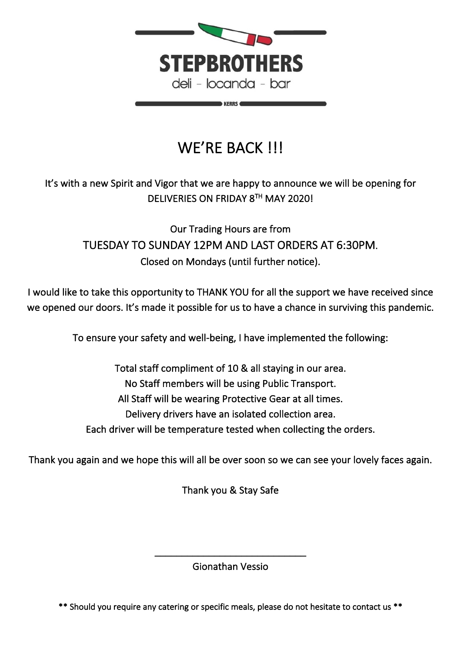

**KERRS** 

# WE'RE BACK !!!

### It's with a new Spirit and Vigor that we are happy to announce we will be opening for DELIVERIES ON FRIDAY 8TH MAY 2020!

Our Trading Hours are from TUESDAY TO SUNDAY 12PM AND LAST ORDERS AT 6:30PM. Closed on Mondays (until further notice).

I would like to take this opportunity to THANK YOU for all the support we have received since we opened our doors. It's made it possible for us to have a chance in surviving this pandemic.

To ensure your safety and well-being, I have implemented the following:

Total staff compliment of 10 & all staying in our area. No Staff members will be using Public Transport. All Staff will be wearing Protective Gear at all times. Delivery drivers have an isolated collection area. Each driver will be temperature tested when collecting the orders.

Thank you again and we hope this will all be over soon so we can see your lovely faces again.

Thank you & Stay Safe

\_\_\_\_\_\_\_\_\_\_\_\_\_\_\_\_\_\_\_\_\_\_\_\_\_\_\_\_ Gionathan Vessio

\*\* Should you require any catering or specific meals, please do not hesitate to contact us \*\*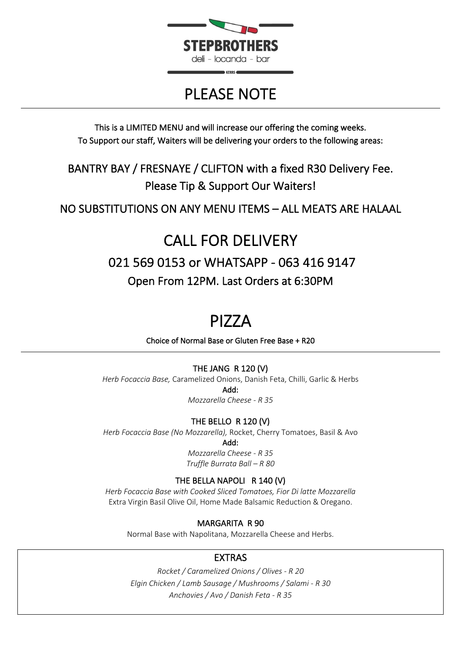

# PLEASE NOTE

This is a LIMITED MENU and will increase our offering the coming weeks. To Support our staff, Waiters will be delivering your orders to the following areas:

BANTRY BAY / FRESNAYE / CLIFTON with a fixed R30 Delivery Fee. Please Tip & Support Our Waiters!

NO SUBSTITUTIONS ON ANY MENU ITEMS – ALL MEATS ARE HALAAL

# CALL FOR DELIVERY 021 569 0153 or WHATSAPP - 063 416 9147 Open From 12PM. Last Orders at 6:30PM

**PIZZA**<br>Choice of Normal Base or Gluten Free Base + R20

#### THE JANG R 120 (V)

*Herb Focaccia Base,* Caramelized Onions, Danish Feta, Chilli, Garlic & Herbs Add:

*Mozzarella Cheese - R 35*

#### THE BELLO R 120 (V)

*Herb Focaccia Base (No Mozzarella),* Rocket, Cherry Tomatoes, Basil & Avo

Add:

*Mozzarella Cheese - R 35 Truffle Burrata Ball – R 80*

#### THE BELLA NAPOLI R 140 (V)

*Herb Focaccia Base with Cooked Sliced Tomatoes, Fior Di latte Mozzarella*  Extra Virgin Basil Olive Oil, Home Made Balsamic Reduction & Oregano.

#### MARGARITA R 90

Normal Base with Napolitana, Mozzarella Cheese and Herbs.

### EXTRAS

*Rocket / Caramelized Onions / Olives - R 20 Elgin Chicken / Lamb Sausage / Mushrooms / Salami - R 30 Anchovies / Avo / Danish Feta - R 35*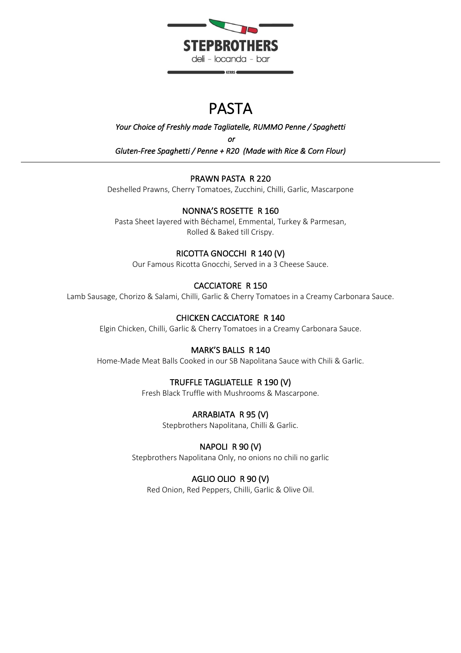

## PASTA

*Your Choice of Freshly made Tagliatelle, RUMMO Penne / Spaghetti or Gluten-Free Spaghetti / Penne + R20 (Made with Rice & Corn Flour)* 

#### PRAWN PASTA R 220

Deshelled Prawns, Cherry Tomatoes, Zucchini, Chilli, Garlic, Mascarpone

#### NONNA'S ROSETTE R 160

Pasta Sheet layered with Béchamel, Emmental, Turkey & Parmesan, Rolled & Baked till Crispy.

#### RICOTTA GNOCCHI R 140 (V)

Our Famous Ricotta Gnocchi, Served in a 3 Cheese Sauce.

#### CACCIATORE R 150

Lamb Sausage, Chorizo & Salami, Chilli, Garlic & Cherry Tomatoes in a Creamy Carbonara Sauce.

#### CHICKEN CACCIATORE R 140

Elgin Chicken, Chilli, Garlic & Cherry Tomatoes in a Creamy Carbonara Sauce.

#### MARK'S BALLS R 140

Home-Made Meat Balls Cooked in our SB Napolitana Sauce with Chili & Garlic.

#### TRUFFLE TAGLIATELLE R 190 (V)

Fresh Black Truffle with Mushrooms & Mascarpone.

#### ARRABIATA R 95 (V)

Stepbrothers Napolitana, Chilli & Garlic.

#### NAPOLI R 90 (V)

Stepbrothers Napolitana Only, no onions no chili no garlic

#### AGLIO OLIO R 90 (V)

Red Onion, Red Peppers, Chilli, Garlic & Olive Oil.